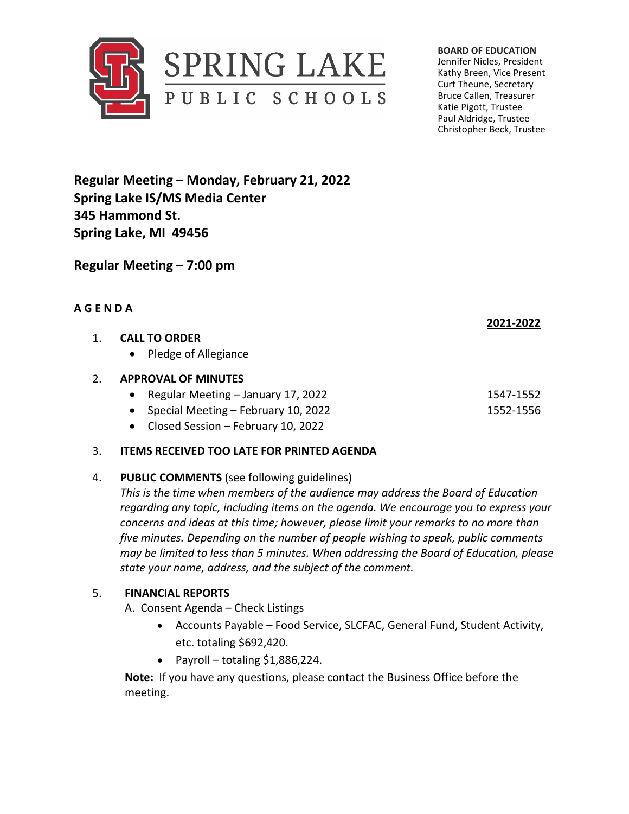

**BOARD OF EDUCATION** Jennifer Nicles, President Kathy Breen, Vice Present Curt Theune, Secretary

Bruce Callen, Treasurer Katie Pigott, Trustee Paul Aldridge, Trustee Christopher Beck, Trustee

**Regular Meeting – Monday, February 21, 2022 Spring Lake IS/MS Media Center 345 Hammond St. Spring Lake, MI 49456**

# **Regular Meeting – 7:00 pm**

## **A G E N D A**

## 1. **CALL TO ORDER**

• Pledge of Allegiance

## 2. **APPROVAL OF MINUTES**

- Regular Meeting January 17, 2022 1547-1552
- Special Meeting February 10, 2022 1552 1552-1556
- Closed Session February 10, 2022

### 3. **ITEMS RECEIVED TOO LATE FOR PRINTED AGENDA**

### 4. **PUBLIC COMMENTS** (see following guidelines)

*This is the time when members of the audience may address the Board of Education regarding any topic, including items on the agenda. We encourage you to express your concerns and ideas at this time; however, please limit your remarks to no more than five minutes. Depending on the number of people wishing to speak, public comments may be limited to less than 5 minutes. When addressing the Board of Education, please state your name, address, and the subject of the comment.* 

### 5. **FINANCIAL REPORTS**

A. Consent Agenda – Check Listings

- Accounts Payable Food Service, SLCFAC, General Fund, Student Activity, etc. totaling \$692,420.
- Payroll totaling  $$1,886,224$ .

**Note:** If you have any questions, please contact the Business Office before the meeting.

**2021-2022**